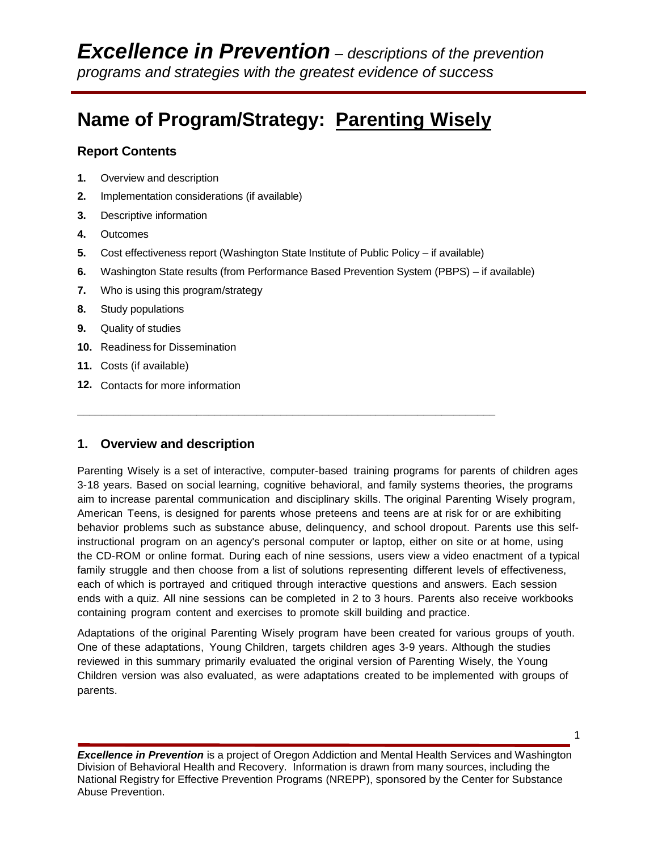# **Name of Program/Strategy: Parenting Wisely**

### **Report Contents**

- **1.** Overview and description
- **2.** Implementation considerations (if available)
- **3.** Descriptive information
- **4.** Outcomes
- **5.** Cost effectiveness report (Washington State Institute of Public Policy if available)

**\_\_\_\_\_\_\_\_\_\_\_\_\_\_\_\_\_\_\_\_\_\_\_\_\_\_\_\_\_\_\_\_\_\_\_\_\_\_\_\_\_\_\_\_\_\_\_\_\_\_\_\_\_\_\_\_\_\_\_\_\_\_\_\_\_\_\_\_\_\_**

- **6.** Washington State results (from Performance Based Prevention System (PBPS) if available)
- **7.** Who is using this program/strategy
- **8.** Study populations
- **9.** Quality of studies
- **10.** Readiness for Dissemination
- **11.** Costs (if available)
- **12.** Contacts for more information

# **1. Overview and description**

Parenting Wisely is a set of interactive, computer-based training programs for parents of children ages 3-18 years. Based on social learning, cognitive behavioral, and family systems theories, the programs aim to increase parental communication and disciplinary skills. The original Parenting Wisely program, American Teens, is designed for parents whose preteens and teens are at risk for or are exhibiting behavior problems such as substance abuse, delinquency, and school dropout. Parents use this selfinstructional program on an agency's personal computer or laptop, either on site or at home, using the CD-ROM or online format. During each of nine sessions, users view a video enactment of a typical family struggle and then choose from a list of solutions representing different levels of effectiveness, each of which is portrayed and critiqued through interactive questions and answers. Each session ends with a quiz. All nine sessions can be completed in 2 to 3 hours. Parents also receive workbooks containing program content and exercises to promote skill building and practice.

Adaptations of the original Parenting Wisely program have been created for various groups of youth. One of these adaptations, Young Children, targets children ages 3-9 years. Although the studies reviewed in this summary primarily evaluated the original version of Parenting Wisely, the Young Children version was also evaluated, as were adaptations created to be implemented with groups of parents.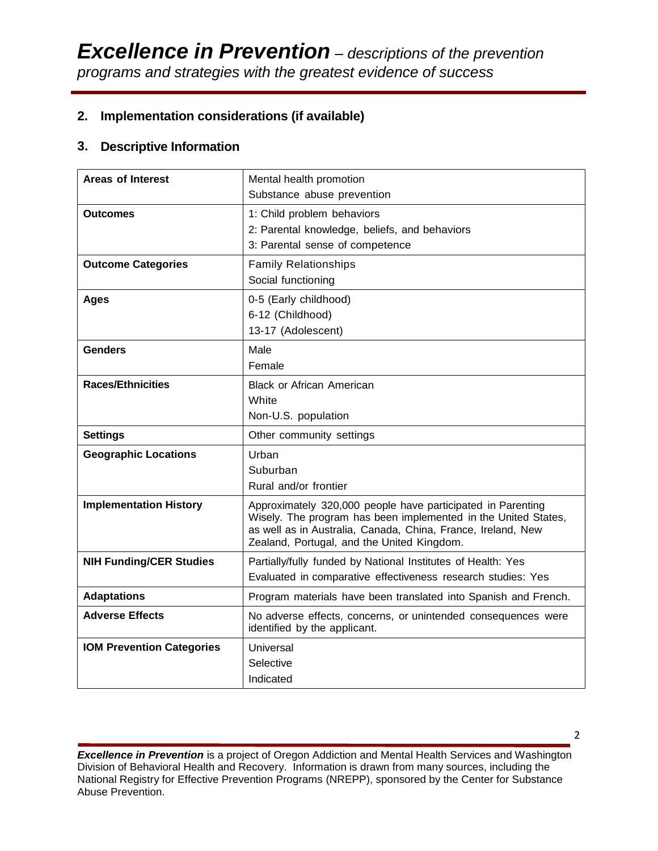# **2. Implementation considerations (if available)**

## **3. Descriptive Information**

| <b>Areas of Interest</b>         | Mental health promotion<br>Substance abuse prevention                                                                                                                                                                                       |
|----------------------------------|---------------------------------------------------------------------------------------------------------------------------------------------------------------------------------------------------------------------------------------------|
| <b>Outcomes</b>                  | 1: Child problem behaviors<br>2: Parental knowledge, beliefs, and behaviors<br>3: Parental sense of competence                                                                                                                              |
| <b>Outcome Categories</b>        | <b>Family Relationships</b><br>Social functioning                                                                                                                                                                                           |
| Ages                             | 0-5 (Early childhood)<br>6-12 (Childhood)<br>13-17 (Adolescent)                                                                                                                                                                             |
| <b>Genders</b>                   | Male<br>Female                                                                                                                                                                                                                              |
| <b>Races/Ethnicities</b>         | <b>Black or African American</b><br>White<br>Non-U.S. population                                                                                                                                                                            |
| <b>Settings</b>                  | Other community settings                                                                                                                                                                                                                    |
| <b>Geographic Locations</b>      | Urban<br>Suburban<br>Rural and/or frontier                                                                                                                                                                                                  |
| <b>Implementation History</b>    | Approximately 320,000 people have participated in Parenting<br>Wisely. The program has been implemented in the United States,<br>as well as in Australia, Canada, China, France, Ireland, New<br>Zealand, Portugal, and the United Kingdom. |
| <b>NIH Funding/CER Studies</b>   | Partially/fully funded by National Institutes of Health: Yes<br>Evaluated in comparative effectiveness research studies: Yes                                                                                                                |
| <b>Adaptations</b>               | Program materials have been translated into Spanish and French.                                                                                                                                                                             |
| <b>Adverse Effects</b>           | No adverse effects, concerns, or unintended consequences were<br>identified by the applicant.                                                                                                                                               |
| <b>IOM Prevention Categories</b> | Universal<br>Selective<br>Indicated                                                                                                                                                                                                         |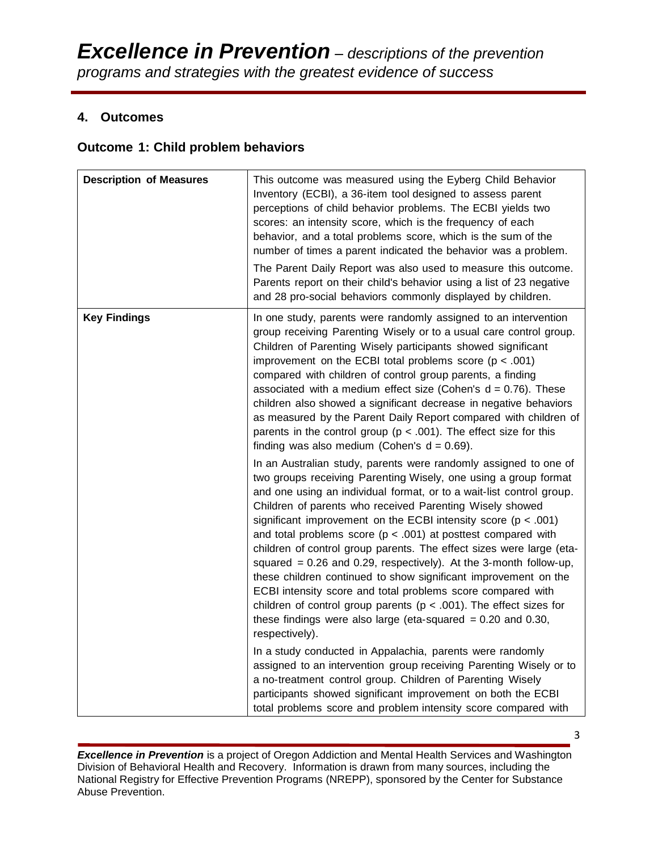## **4. Outcomes**

### **Outcome 1: Child problem behaviors**

| <b>Description of Measures</b> | This outcome was measured using the Eyberg Child Behavior<br>Inventory (ECBI), a 36-item tool designed to assess parent<br>perceptions of child behavior problems. The ECBI yields two<br>scores: an intensity score, which is the frequency of each<br>behavior, and a total problems score, which is the sum of the<br>number of times a parent indicated the behavior was a problem.<br>The Parent Daily Report was also used to measure this outcome.<br>Parents report on their child's behavior using a list of 23 negative<br>and 28 pro-social behaviors commonly displayed by children.                                                                                                                                                                                                                                                                     |
|--------------------------------|----------------------------------------------------------------------------------------------------------------------------------------------------------------------------------------------------------------------------------------------------------------------------------------------------------------------------------------------------------------------------------------------------------------------------------------------------------------------------------------------------------------------------------------------------------------------------------------------------------------------------------------------------------------------------------------------------------------------------------------------------------------------------------------------------------------------------------------------------------------------|
| <b>Key Findings</b>            | In one study, parents were randomly assigned to an intervention<br>group receiving Parenting Wisely or to a usual care control group.<br>Children of Parenting Wisely participants showed significant<br>improvement on the ECBI total problems score ( $p < .001$ )<br>compared with children of control group parents, a finding<br>associated with a medium effect size (Cohen's $d = 0.76$ ). These<br>children also showed a significant decrease in negative behaviors<br>as measured by the Parent Daily Report compared with children of<br>parents in the control group ( $p < .001$ ). The effect size for this<br>finding was also medium (Cohen's $d = 0.69$ ).                                                                                                                                                                                          |
|                                | In an Australian study, parents were randomly assigned to one of<br>two groups receiving Parenting Wisely, one using a group format<br>and one using an individual format, or to a wait-list control group.<br>Children of parents who received Parenting Wisely showed<br>significant improvement on the ECBI intensity score ( $p < .001$ )<br>and total problems score ( $p < .001$ ) at posttest compared with<br>children of control group parents. The effect sizes were large (eta-<br>squared = $0.26$ and $0.29$ , respectively). At the 3-month follow-up,<br>these children continued to show significant improvement on the<br>ECBI intensity score and total problems score compared with<br>children of control group parents ( $p < .001$ ). The effect sizes for<br>these findings were also large (eta-squared $= 0.20$ and 0.30,<br>respectively). |
|                                | In a study conducted in Appalachia, parents were randomly<br>assigned to an intervention group receiving Parenting Wisely or to<br>a no-treatment control group. Children of Parenting Wisely<br>participants showed significant improvement on both the ECBI<br>total problems score and problem intensity score compared with                                                                                                                                                                                                                                                                                                                                                                                                                                                                                                                                      |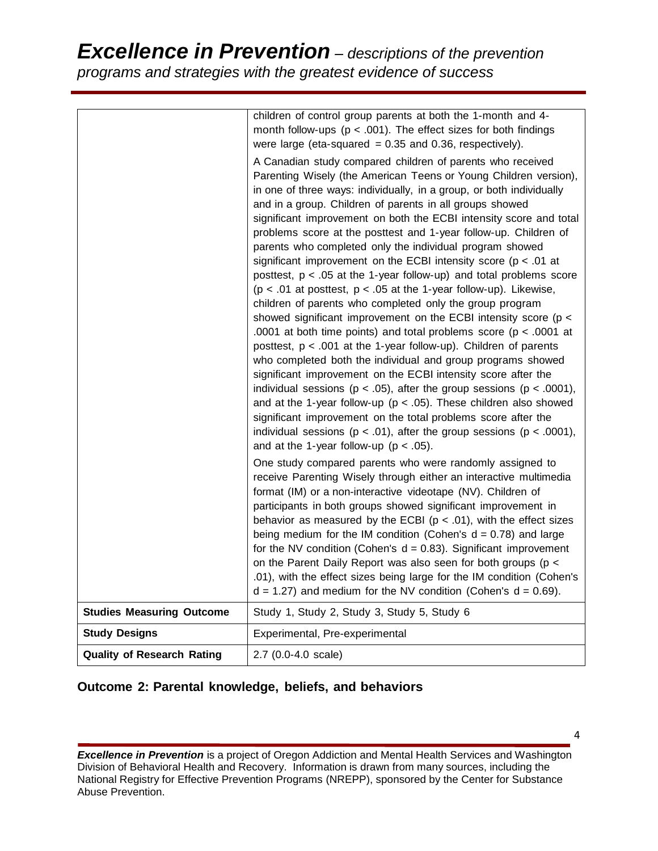# *Excellence in Prevention – descriptions of the prevention programs and strategies with the greatest evidence of success*

|                                   | children of control group parents at both the 1-month and 4-                                                                                                                                                                                                                                                                                                                                                                                                                                                                                                                                                                                                                                                                                                                                                                                                                                                                                                                                                                                                                                                                                                                                                                                                                                                                           |
|-----------------------------------|----------------------------------------------------------------------------------------------------------------------------------------------------------------------------------------------------------------------------------------------------------------------------------------------------------------------------------------------------------------------------------------------------------------------------------------------------------------------------------------------------------------------------------------------------------------------------------------------------------------------------------------------------------------------------------------------------------------------------------------------------------------------------------------------------------------------------------------------------------------------------------------------------------------------------------------------------------------------------------------------------------------------------------------------------------------------------------------------------------------------------------------------------------------------------------------------------------------------------------------------------------------------------------------------------------------------------------------|
|                                   | month follow-ups ( $p < .001$ ). The effect sizes for both findings                                                                                                                                                                                                                                                                                                                                                                                                                                                                                                                                                                                                                                                                                                                                                                                                                                                                                                                                                                                                                                                                                                                                                                                                                                                                    |
|                                   | were large (eta-squared $= 0.35$ and 0.36, respectively).                                                                                                                                                                                                                                                                                                                                                                                                                                                                                                                                                                                                                                                                                                                                                                                                                                                                                                                                                                                                                                                                                                                                                                                                                                                                              |
|                                   |                                                                                                                                                                                                                                                                                                                                                                                                                                                                                                                                                                                                                                                                                                                                                                                                                                                                                                                                                                                                                                                                                                                                                                                                                                                                                                                                        |
|                                   | A Canadian study compared children of parents who received<br>Parenting Wisely (the American Teens or Young Children version),<br>in one of three ways: individually, in a group, or both individually<br>and in a group. Children of parents in all groups showed<br>significant improvement on both the ECBI intensity score and total<br>problems score at the posttest and 1-year follow-up. Children of<br>parents who completed only the individual program showed<br>significant improvement on the ECBI intensity score ( $p < .01$ at<br>posttest, $p < .05$ at the 1-year follow-up) and total problems score<br>( $p < .01$ at posttest, $p < .05$ at the 1-year follow-up). Likewise,<br>children of parents who completed only the group program<br>showed significant improvement on the ECBI intensity score (p <<br>.0001 at both time points) and total problems score ( $p < .0001$ at<br>posttest, p < .001 at the 1-year follow-up). Children of parents<br>who completed both the individual and group programs showed<br>significant improvement on the ECBI intensity score after the<br>individual sessions ( $p < .05$ ), after the group sessions ( $p < .0001$ ),<br>and at the 1-year follow-up ( $p < .05$ ). These children also showed<br>significant improvement on the total problems score after the |
|                                   | individual sessions ( $p < .01$ ), after the group sessions ( $p < .0001$ ),<br>and at the 1-year follow-up ( $p < .05$ ).                                                                                                                                                                                                                                                                                                                                                                                                                                                                                                                                                                                                                                                                                                                                                                                                                                                                                                                                                                                                                                                                                                                                                                                                             |
|                                   | One study compared parents who were randomly assigned to<br>receive Parenting Wisely through either an interactive multimedia<br>format (IM) or a non-interactive videotape (NV). Children of<br>participants in both groups showed significant improvement in<br>behavior as measured by the ECBI ( $p < .01$ ), with the effect sizes<br>being medium for the IM condition (Cohen's $d = 0.78$ ) and large<br>for the NV condition (Cohen's $d = 0.83$ ). Significant improvement<br>on the Parent Daily Report was also seen for both groups (p <<br>.01), with the effect sizes being large for the IM condition (Cohen's<br>$d = 1.27$ ) and medium for the NV condition (Cohen's $d = 0.69$ ).                                                                                                                                                                                                                                                                                                                                                                                                                                                                                                                                                                                                                                   |
| <b>Studies Measuring Outcome</b>  | Study 1, Study 2, Study 3, Study 5, Study 6                                                                                                                                                                                                                                                                                                                                                                                                                                                                                                                                                                                                                                                                                                                                                                                                                                                                                                                                                                                                                                                                                                                                                                                                                                                                                            |
| <b>Study Designs</b>              | Experimental, Pre-experimental                                                                                                                                                                                                                                                                                                                                                                                                                                                                                                                                                                                                                                                                                                                                                                                                                                                                                                                                                                                                                                                                                                                                                                                                                                                                                                         |
| <b>Quality of Research Rating</b> | 2.7 (0.0-4.0 scale)                                                                                                                                                                                                                                                                                                                                                                                                                                                                                                                                                                                                                                                                                                                                                                                                                                                                                                                                                                                                                                                                                                                                                                                                                                                                                                                    |

# **Outcome 2: Parental knowledge, beliefs, and behaviors**

*Excellence in Prevention* is a project of Oregon Addiction and Mental Health Services and Washington Division of Behavioral Health and Recovery. Information is drawn from many sources, including the National Registry for Effective Prevention Programs (NREPP), sponsored by the Center for Substance Abuse Prevention.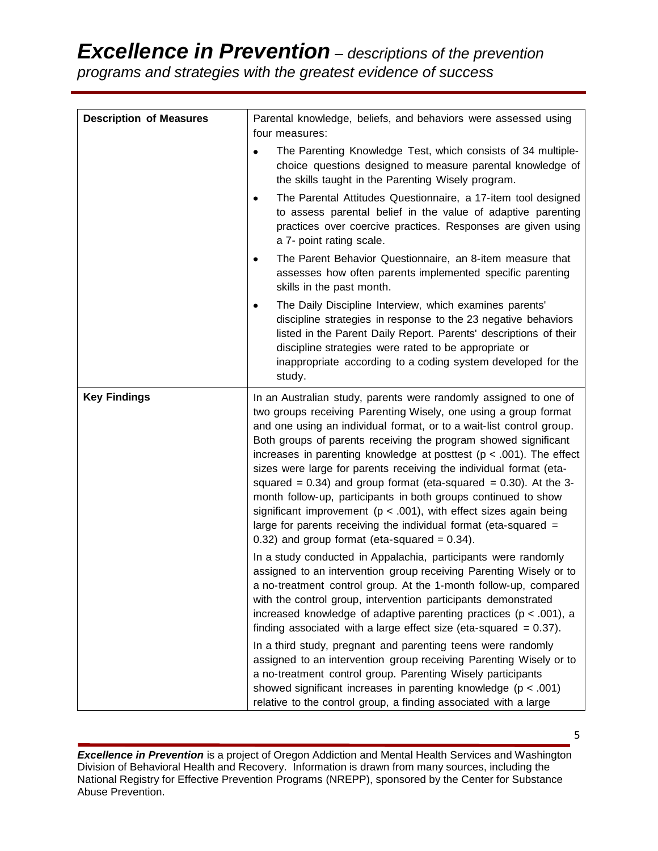# *Excellence in Prevention – descriptions of the prevention*

*programs and strategies with the greatest evidence of success*

| <b>Description of Measures</b> | Parental knowledge, beliefs, and behaviors were assessed using<br>four measures:                                                                                                                                                                                                                                                                                                                                                                                                                                                                                                                                                                                                                                                                                                 |  |  |  |
|--------------------------------|----------------------------------------------------------------------------------------------------------------------------------------------------------------------------------------------------------------------------------------------------------------------------------------------------------------------------------------------------------------------------------------------------------------------------------------------------------------------------------------------------------------------------------------------------------------------------------------------------------------------------------------------------------------------------------------------------------------------------------------------------------------------------------|--|--|--|
|                                | The Parenting Knowledge Test, which consists of 34 multiple-<br>$\bullet$<br>choice questions designed to measure parental knowledge of<br>the skills taught in the Parenting Wisely program.                                                                                                                                                                                                                                                                                                                                                                                                                                                                                                                                                                                    |  |  |  |
|                                | The Parental Attitudes Questionnaire, a 17-item tool designed<br>٠<br>to assess parental belief in the value of adaptive parenting<br>practices over coercive practices. Responses are given using<br>a 7- point rating scale.                                                                                                                                                                                                                                                                                                                                                                                                                                                                                                                                                   |  |  |  |
|                                | The Parent Behavior Questionnaire, an 8-item measure that<br>assesses how often parents implemented specific parenting<br>skills in the past month.                                                                                                                                                                                                                                                                                                                                                                                                                                                                                                                                                                                                                              |  |  |  |
|                                | The Daily Discipline Interview, which examines parents'<br>$\bullet$<br>discipline strategies in response to the 23 negative behaviors<br>listed in the Parent Daily Report. Parents' descriptions of their<br>discipline strategies were rated to be appropriate or<br>inappropriate according to a coding system developed for the<br>study.                                                                                                                                                                                                                                                                                                                                                                                                                                   |  |  |  |
| <b>Key Findings</b>            | In an Australian study, parents were randomly assigned to one of<br>two groups receiving Parenting Wisely, one using a group format<br>and one using an individual format, or to a wait-list control group.<br>Both groups of parents receiving the program showed significant<br>increases in parenting knowledge at posttest ( $p < .001$ ). The effect<br>sizes were large for parents receiving the individual format (eta-<br>squared = $0.34$ ) and group format (eta-squared = $0.30$ ). At the 3-<br>month follow-up, participants in both groups continued to show<br>significant improvement ( $p < .001$ ), with effect sizes again being<br>large for parents receiving the individual format (eta-squared $=$<br>$0.32$ ) and group format (eta-squared = $0.34$ ). |  |  |  |
|                                | In a study conducted in Appalachia, participants were randomly<br>assigned to an intervention group receiving Parenting Wisely or to<br>a no-treatment control group. At the 1-month follow-up, compared<br>with the control group, intervention participants demonstrated<br>increased knowledge of adaptive parenting practices ( $p < .001$ ), a<br>finding associated with a large effect size (eta-squared $= 0.37$ ).                                                                                                                                                                                                                                                                                                                                                      |  |  |  |
|                                | In a third study, pregnant and parenting teens were randomly<br>assigned to an intervention group receiving Parenting Wisely or to<br>a no-treatment control group. Parenting Wisely participants<br>showed significant increases in parenting knowledge ( $p < .001$ )<br>relative to the control group, a finding associated with a large                                                                                                                                                                                                                                                                                                                                                                                                                                      |  |  |  |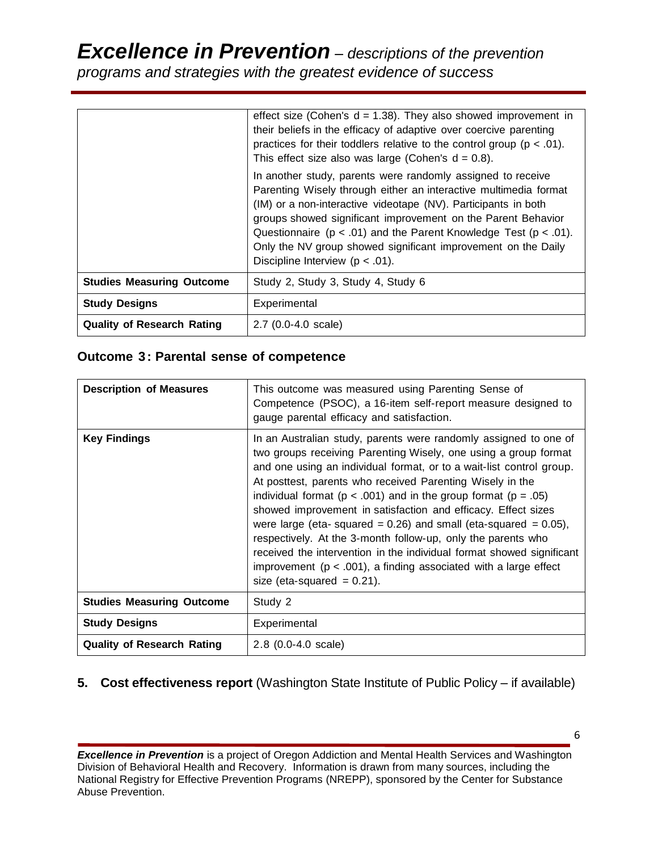# *Excellence in Prevention – descriptions of the prevention*

*programs and strategies with the greatest evidence of success*

|                                   | effect size (Cohen's $d = 1.38$ ). They also showed improvement in<br>their beliefs in the efficacy of adaptive over coercive parenting<br>practices for their toddlers relative to the control group ( $p < .01$ ).<br>This effect size also was large (Cohen's $d = 0.8$ ).                                                                                                                                                                         |
|-----------------------------------|-------------------------------------------------------------------------------------------------------------------------------------------------------------------------------------------------------------------------------------------------------------------------------------------------------------------------------------------------------------------------------------------------------------------------------------------------------|
|                                   | In another study, parents were randomly assigned to receive<br>Parenting Wisely through either an interactive multimedia format<br>(IM) or a non-interactive videotape (NV). Participants in both<br>groups showed significant improvement on the Parent Behavior<br>Questionnaire ( $p < .01$ ) and the Parent Knowledge Test ( $p < .01$ ).<br>Only the NV group showed significant improvement on the Daily<br>Discipline Interview ( $p < .01$ ). |
| <b>Studies Measuring Outcome</b>  | Study 2, Study 3, Study 4, Study 6                                                                                                                                                                                                                                                                                                                                                                                                                    |
| <b>Study Designs</b>              | Experimental                                                                                                                                                                                                                                                                                                                                                                                                                                          |
| <b>Quality of Research Rating</b> | $2.7$ (0.0-4.0 scale)                                                                                                                                                                                                                                                                                                                                                                                                                                 |

# **Outcome 3: Parental sense of competence**

| <b>Description of Measures</b>    | This outcome was measured using Parenting Sense of<br>Competence (PSOC), a 16-item self-report measure designed to<br>gauge parental efficacy and satisfaction.                                                                                                                                                                                                                                                                                                                                                                                                                                                                                                                                                                                 |
|-----------------------------------|-------------------------------------------------------------------------------------------------------------------------------------------------------------------------------------------------------------------------------------------------------------------------------------------------------------------------------------------------------------------------------------------------------------------------------------------------------------------------------------------------------------------------------------------------------------------------------------------------------------------------------------------------------------------------------------------------------------------------------------------------|
| <b>Key Findings</b>               | In an Australian study, parents were randomly assigned to one of<br>two groups receiving Parenting Wisely, one using a group format<br>and one using an individual format, or to a wait-list control group.<br>At posttest, parents who received Parenting Wisely in the<br>individual format ( $p < .001$ ) and in the group format ( $p = .05$ )<br>showed improvement in satisfaction and efficacy. Effect sizes<br>were large (eta- squared = $0.26$ ) and small (eta-squared = $0.05$ ),<br>respectively. At the 3-month follow-up, only the parents who<br>received the intervention in the individual format showed significant<br>improvement ( $p < .001$ ), a finding associated with a large effect<br>size (eta-squared $= 0.21$ ). |
| <b>Studies Measuring Outcome</b>  | Study 2                                                                                                                                                                                                                                                                                                                                                                                                                                                                                                                                                                                                                                                                                                                                         |
| <b>Study Designs</b>              | Experimental                                                                                                                                                                                                                                                                                                                                                                                                                                                                                                                                                                                                                                                                                                                                    |
| <b>Quality of Research Rating</b> | 2.8 (0.0-4.0 scale)                                                                                                                                                                                                                                                                                                                                                                                                                                                                                                                                                                                                                                                                                                                             |

# **5. Cost effectiveness report** (Washington State Institute of Public Policy – if available)

*Excellence in Prevention* is a project of Oregon Addiction and Mental Health Services and Washington Division of Behavioral Health and Recovery. Information is drawn from many sources, including the National Registry for Effective Prevention Programs (NREPP), sponsored by the Center for Substance Abuse Prevention.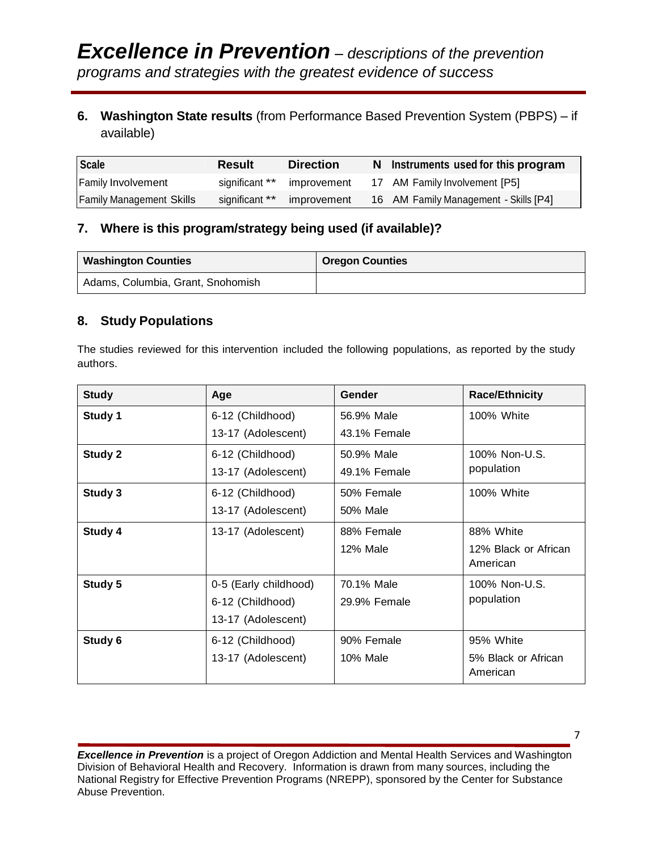# **6. Washington State results** (from Performance Based Prevention System (PBPS) – if available)

| <b>Scale</b>                    | Result         | <b>Direction</b> | N Instruments used for this program   |
|---------------------------------|----------------|------------------|---------------------------------------|
| <b>Family Involvement</b>       | significant ** | improvement      | 17 AM Family Involvement [P5]         |
| <b>Family Management Skills</b> | significant ** | improvement      | 16 AM Family Management - Skills [P4] |

# **7. Where is this program/strategy being used (if available)?**

| <b>Washington Counties</b>        | <b>Oregon Counties</b> |
|-----------------------------------|------------------------|
| Adams, Columbia, Grant, Snohomish |                        |

# **8. Study Populations**

The studies reviewed for this intervention included the following populations, as reported by the study authors.

| <b>Study</b> | Age                   | Gender          | <b>Race/Ethnicity</b>           |
|--------------|-----------------------|-----------------|---------------------------------|
| Study 1      | 6-12 (Childhood)      | 56.9% Male      | 100% White                      |
|              | 13-17 (Adolescent)    | 43.1% Female    |                                 |
| Study 2      | 6-12 (Childhood)      | 50.9% Male      | 100% Non-U.S.                   |
|              | 13-17 (Adolescent)    | 49.1% Female    | population                      |
| Study 3      | 6-12 (Childhood)      | 50% Female      | 100% White                      |
|              | 13-17 (Adolescent)    | 50% Male        |                                 |
| Study 4      | 13-17 (Adolescent)    | 88% Female      | 88% White                       |
|              |                       | 12% Male        | 12% Black or African            |
|              |                       |                 | American                        |
| Study 5      | 0-5 (Early childhood) | 70.1% Male      | 100% Non-U.S.                   |
|              | 6-12 (Childhood)      | 29.9% Female    | population                      |
|              | 13-17 (Adolescent)    |                 |                                 |
| Study 6      | 6-12 (Childhood)      | 90% Female      | 95% White                       |
|              | 13-17 (Adolescent)    | <b>10% Male</b> | 5% Black or African<br>American |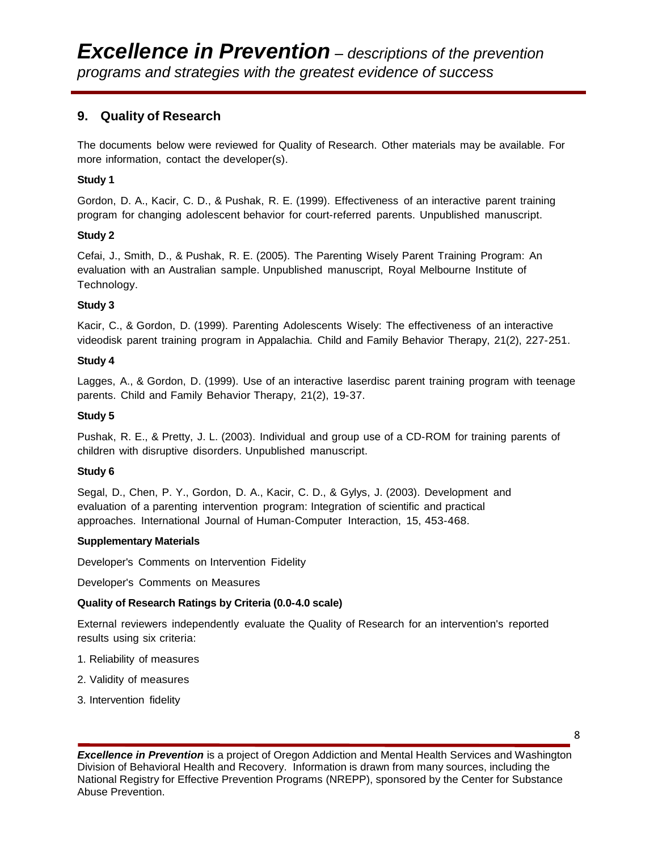# **9. Quality of Research**

The documents below were reviewed for Quality of Research. Other materials may be available. For more information, contact the developer(s).

#### **Study 1**

Gordon, D. A., Kacir, C. D., & Pushak, R. E. (1999). Effectiveness of an interactive parent training program for changing adolescent behavior for court-referred parents. Unpublished manuscript.

#### **Study 2**

Cefai, J., Smith, D., & Pushak, R. E. (2005). The Parenting Wisely Parent Training Program: An evaluation with an Australian sample. Unpublished manuscript, Royal Melbourne Institute of Technology.

#### **Study 3**

Kacir, C., & Gordon, D. (1999). Parenting Adolescents Wisely: The effectiveness of an interactive videodisk parent training program in Appalachia. Child and Family Behavior Therapy, 21(2), 227-251.

#### **Study 4**

Lagges, A., & Gordon, D. (1999). Use of an interactive laserdisc parent training program with teenage parents. Child and Family Behavior Therapy, 21(2), 19-37.

#### **Study 5**

Pushak, R. E., & Pretty, J. L. (2003). Individual and group use of a CD-ROM for training parents of children with disruptive disorders. Unpublished manuscript.

#### **Study 6**

Segal, D., Chen, P. Y., Gordon, D. A., Kacir, C. D., & Gylys, J. (2003). Development and evaluation of a parenting intervention program: Integration of scientific and practical approaches. International Journal of Human-Computer Interaction, 15, 453-468.

#### **Supplementary Materials**

Developer's Comments on Intervention Fidelity

Developer's Comments on Measures

#### **Quality of Research Ratings by Criteria (0.0-4.0 scale)**

External reviewers independently evaluate the Quality of Research for an intervention's reported results using six criteria:

- 1. Reliability of measures
- 2. Validity of measures
- 3. Intervention fidelity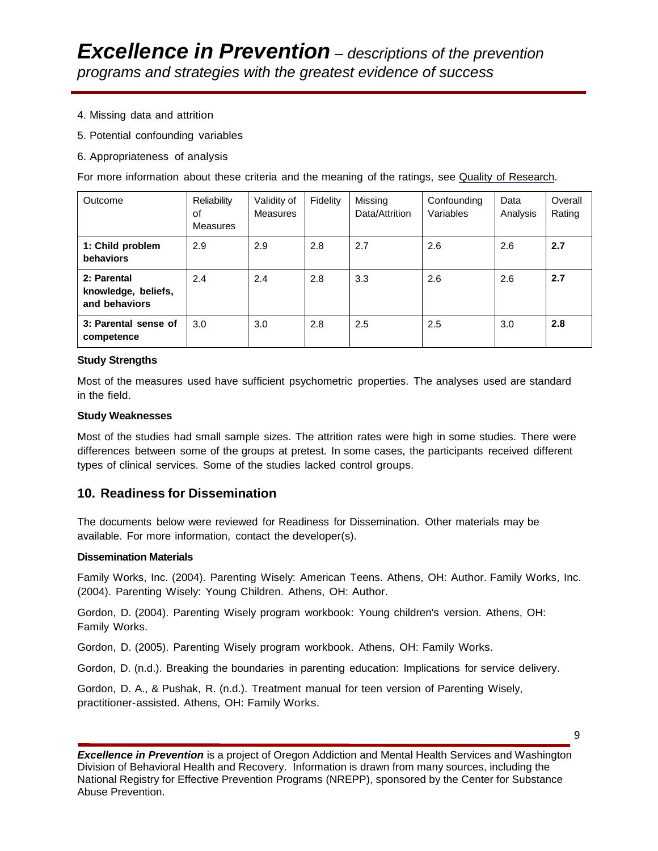- 4. Missing data and attrition
- 5. Potential confounding variables
- 6. Appropriateness of analysis

For more information about these criteria and the meaning of the ratings, see Quality of [Research.](http://nrepp.samhsa.gov/ReviewQOR.aspx)

| Outcome                                             | Reliability<br>οf<br>Measures | Validity of<br>Measures | Fidelity | Missing<br>Data/Attrition | Confounding<br>Variables | Data<br>Analysis | Overall<br>Rating |
|-----------------------------------------------------|-------------------------------|-------------------------|----------|---------------------------|--------------------------|------------------|-------------------|
| 1: Child problem<br>behaviors                       | 2.9                           | 2.9                     | 2.8      | 2.7                       | 2.6                      | 2.6              | 2.7               |
| 2: Parental<br>knowledge, beliefs,<br>and behaviors | 2.4                           | 2.4                     | 2.8      | 3.3                       | 2.6                      | 2.6              | 2.7               |
| 3: Parental sense of<br>competence                  | 3.0                           | 3.0                     | 2.8      | 2.5                       | 2.5                      | 3.0              | 2.8               |

#### **Study Strengths**

Most of the measures used have sufficient psychometric properties. The analyses used are standard in the field.

#### **Study Weaknesses**

Most of the studies had small sample sizes. The attrition rates were high in some studies. There were differences between some of the groups at pretest. In some cases, the participants received different types of clinical services. Some of the studies lacked control groups.

#### **10. Readiness for Dissemination**

The documents below were reviewed for Readiness for Dissemination. Other materials may be available. For more information, contact the developer(s).

#### **Dissemination Materials**

Family Works, Inc. (2004). Parenting Wisely: American Teens. Athens, OH: Author. Family Works, Inc. (2004). Parenting Wisely: Young Children. Athens, OH: Author.

Gordon, D. (2004). Parenting Wisely program workbook: Young children's version. Athens, OH: Family Works.

Gordon, D. (2005). Parenting Wisely program workbook. Athens, OH: Family Works.

Gordon, D. (n.d.). Breaking the boundaries in parenting education: Implications for service delivery.

Gordon, D. A., & Pushak, R. (n.d.). Treatment manual for teen version of Parenting Wisely, practitioner-assisted. Athens, OH: Family Works.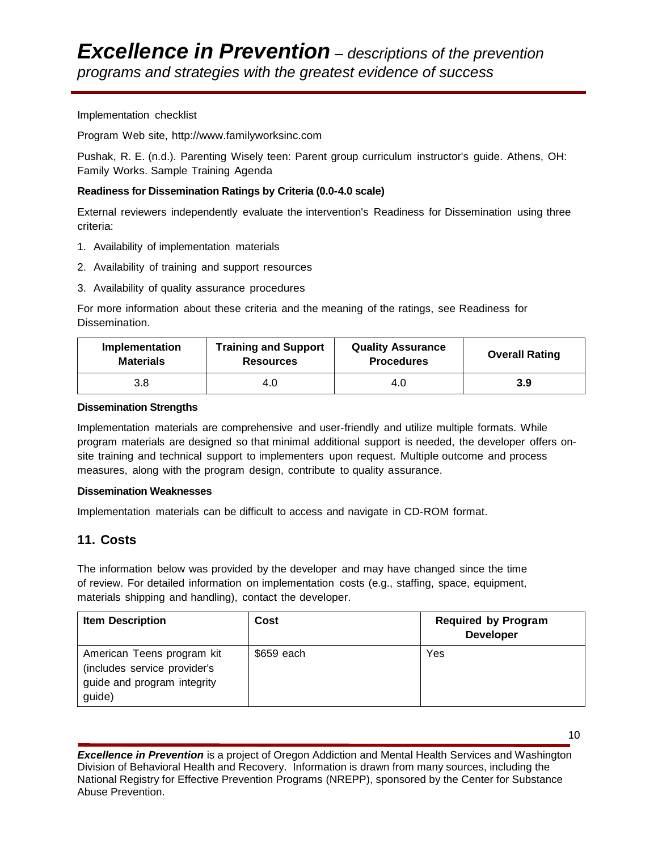#### Implementation checklist

Program Web site, [http://www.familyworksinc.com](http://www.familyworksinc.com/)

Pushak, R. E. (n.d.). Parenting Wisely teen: Parent group curriculum instructor's guide. Athens, OH: Family Works. Sample Training Agenda

#### **Readiness for Dissemination Ratings by Criteria (0.0-4.0 scale)**

External reviewers independently evaluate the intervention's Readiness for Dissemination using three criteria:

- 1. Availability of implementation materials
- 2. Availability of training and support resources
- 3. Availability of quality assurance procedures

For more information about these criteria and the meaning of the ratings, see Readiness for Dissemination.

| Implementation   | <b>Training and Support</b> | <b>Quality Assurance</b> | <b>Overall Rating</b> |
|------------------|-----------------------------|--------------------------|-----------------------|
| <b>Materials</b> | <b>Resources</b>            | <b>Procedures</b>        |                       |
| 3.8              | 4.0                         | 4.O                      | 3.9                   |

#### **Dissemination Strengths**

Implementation materials are comprehensive and user-friendly and utilize multiple formats. While program materials are designed so that minimal additional support is needed, the developer offers onsite training and technical support to implementers upon request. Multiple outcome and process measures, along with the program design, contribute to quality assurance.

#### **Dissemination Weaknesses**

Implementation materials can be difficult to access and navigate in CD-ROM format.

# **11. Costs**

The information below was provided by the developer and may have changed since the time of review. For detailed information on implementation costs (e.g., staffing, space, equipment, materials shipping and handling), contact the developer.

| <b>Item Description</b>                                                                             | Cost       | <b>Required by Program</b><br><b>Developer</b> |
|-----------------------------------------------------------------------------------------------------|------------|------------------------------------------------|
| American Teens program kit<br>(includes service provider's<br>guide and program integrity<br>guide) | \$659 each | Yes                                            |